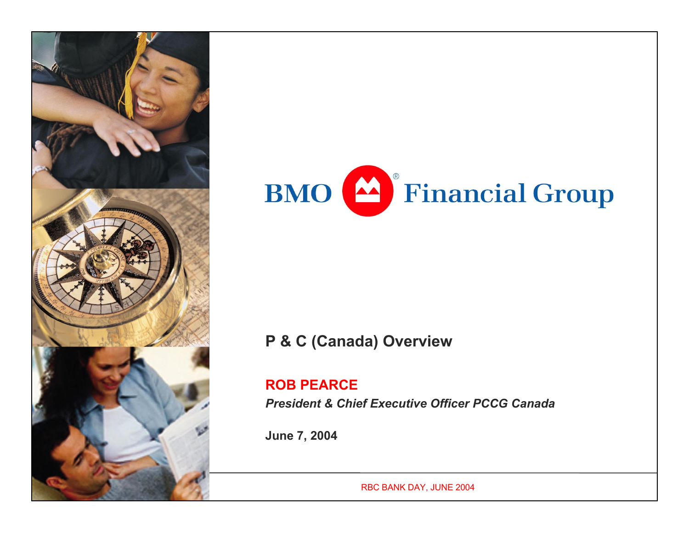



### **P & C (Canada) Overview**

#### **ROB PEARCE**

*President & Chief Executive Officer PCCG Canada*

**June 7, 2004**

RBC BANK DAY, JUNE 2004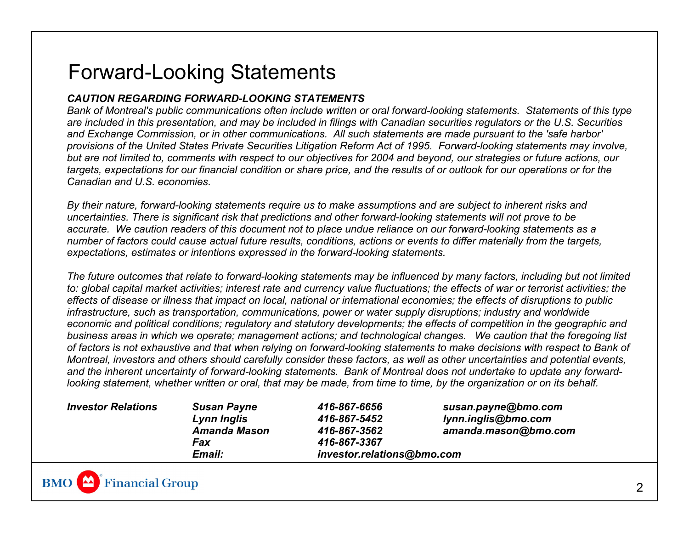### Forward-Looking Statements

#### *CAUTION REGARDING FORWARD-LOOKING STATEMENTS*

*Bank of Montreal's public communications often include written or oral forward-looking statements. Statements of this type are included in this presentation, and may be included in filings with Canadian securities regulators or the U.S. Securities and Exchange Commission, or in other communications. All such statements are made pursuant to the 'safe harbor' provisions of the United States Private Securities Litigation Reform Act of 1995. Forward-looking statements may involve, but are not limited to, comments with respect to our objectives for 2004 and beyond, our strategies or future actions, our targets, expectations for our financial condition or share price, and the results of or outlook for our operations or for the Canadian and U.S. economies.* 

*By their nature, forward-looking statements require us to make assumptions and are subject to inherent risks and uncertainties. There is significant risk that predictions and other forward-looking statements will not prove to be accurate. We caution readers of this document not to place undue reliance on our forward-looking statements as a number of factors could cause actual future results, conditions, actions or events to differ materially from the targets, expectations, estimates or intentions expressed in the forward-looking statements.* 

*The future outcomes that relate to forward-looking statements may be influenced by many factors, including but not limited to: global capital market activities; interest rate and currency value fluctuations; the effects of war or terrorist activities; the effects of disease or illness that impact on local, national or international economies; the effects of disruptions to public infrastructure, such as transportation, communications, power or water supply disruptions; industry and worldwide economic and political conditions; regulatory and statutory developments; the effects of competition in the geographic and business areas in which we operate; management actions; and technological changes. We caution that the foregoing list of factors is not exhaustive and that when relying on forward-looking statements to make decisions with respect to Bank of Montreal, investors and others should carefully consider these factors, as well as other uncertainties and potential events, and the inherent uncertainty of forward-looking statements. Bank of Montreal does not undertake to update any forwardlooking statement, whether written or oral, that may be made, from time to time, by the organization or on its behalf.* 

| <b>Investor Relations</b> | <b>Susan Payne</b>   | 416-867-6656               | susan.payne@bmo.com  |
|---------------------------|----------------------|----------------------------|----------------------|
|                           | Lynn Inglis          | 416-867-5452               | lynn.inglis@bmo.com  |
|                           | <b>Amanda Mason</b>  | 416-867-3562               | amanda.mason@bmo.com |
|                           | Fax                  | 416-867-3367               |                      |
|                           | <i><b>Email:</b></i> | investor.relations@bmo.com |                      |

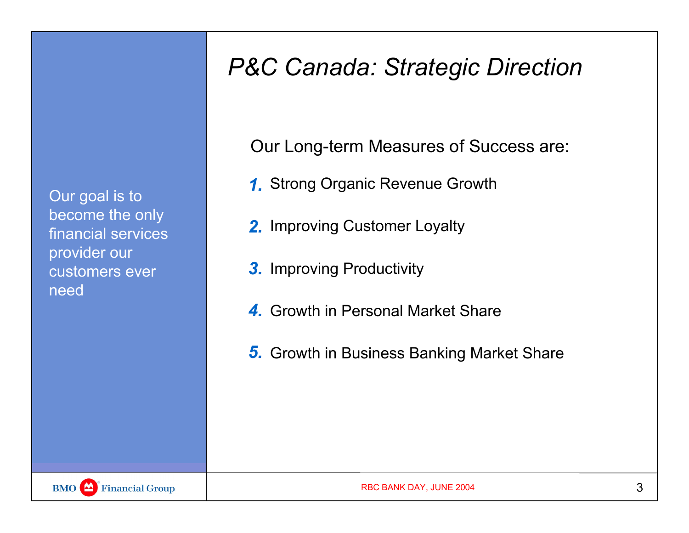Our goal is to become the only financial services provider our customers ever need

## *P&C Canada: Strategic Direction*

Our Long-term Measures of Success are:

- Strong Organic Revenue Growth *1.*
- **2.** Improving Customer Loyalty
- 3. Improving Productivity
- Growth in Personal Market Share*4.*
- **5.** Growth in Business Banking Market Share

**BMO** Financial Group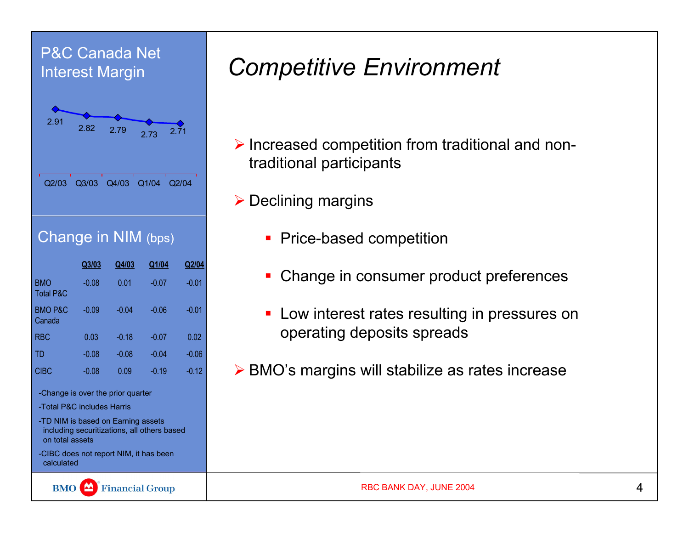### P&C Canada Net Interest Margin



### Change in NIM (bps)

|                                    | Q3/03   | Q4/03   | Q1/04   | Q2/04   |
|------------------------------------|---------|---------|---------|---------|
| <b>BMO</b><br><b>Total P&amp;C</b> | $-0.08$ | 0.01    | $-0.07$ | $-0.01$ |
| <b>BMO P&amp;C</b><br>Canada       | $-0.09$ | $-0.04$ | $-0.06$ | $-0.01$ |
| <b>RBC</b>                         | 0.03    | $-0.18$ | $-0.07$ | 0.02    |
| TD                                 | $-0.08$ | $-0.08$ | $-0.04$ | $-0.06$ |
| CIBC                               | $-0.08$ | 0.09    | $-0.19$ | $-0.12$ |

-Change is over the prior quarter

- -Total P&C includes Harris
- -TD NIM is based on Earning assets including securitizations, all others based on total assets
- -CIBC does not report NIM, it has been calculated

Financial Group **BMO** 

# *Competitive Environment*

- $\triangleright$  Increased competition from traditional and nontraditional participants
- $\triangleright$  Declining margins
	- Price-based competition
	- **Change in consumer product preferences**
	- **Low interest rates resulting in pressures on** operating deposits spreads
- ▶ BMO's margins will stabilize as rates increase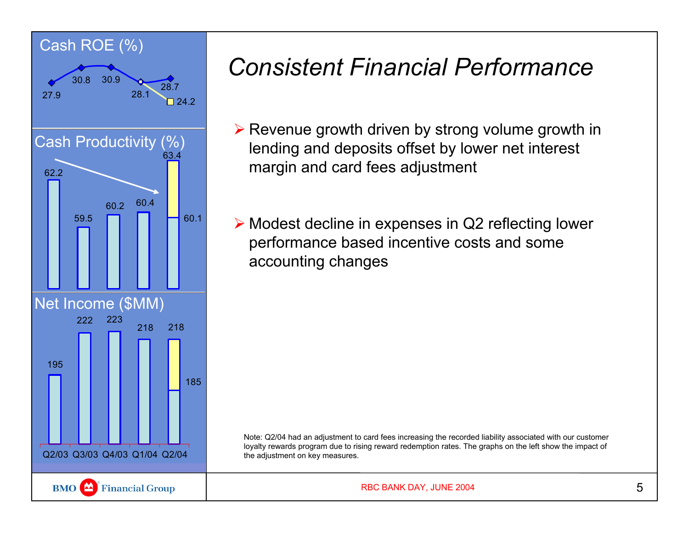

# *Consistent Financial Performance*

- $\triangleright$  Revenue growth driven by strong volume growth in lending and deposits offset by lower net interest margin and card fees adjustment
- ¾ Modest decline in expenses in Q2 reflecting lower performance based incentive costs and some accounting changes

Note: Q2/04 had an adjustment to card fees increasing the recorded liability associated with our customer loyalty rewards program due to rising reward redemption rates. The graphs on the left show the impact of the adjustment on key measures.

RBC BANK DAY, JUNE 2004 5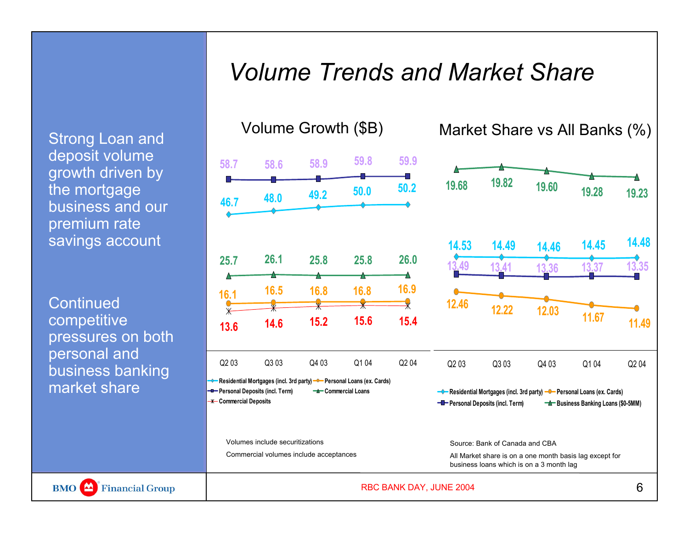### *Volume Trends and Market Share*

Strong Loan and deposit volume growth driven by the mortgage business and our premium rate savings account

**Continued** competitive pressures on both personal and business banking market share

Financial Group

**BMO** 





Volumes include securitizations

**Commercial Deposits**

Commercial volumes include acceptances

**Personal Deposits (incl. Term) Property Commercial Loans** 

Volume Growth (\$B) Market Share vs All Banks (%)



RBC BANK DAY, JUNE 2004 6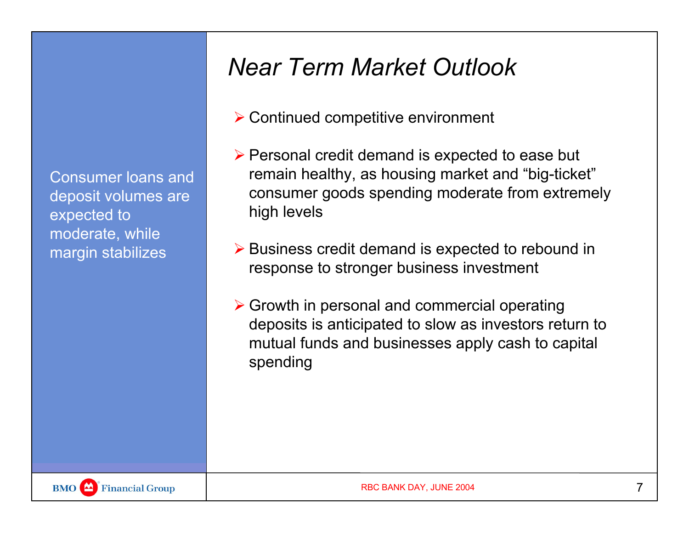Consumer loans and deposit volumes are expected to moderate, while margin stabilizes

## *Near Term Market Outlook*

- $\triangleright$  Continued competitive environment
- $\triangleright$  Personal credit demand is expected to ease but remain healthy, as housing market and "big-ticket" consumer goods spending moderate from extremely high levels
- ¾ Business credit demand is expected to rebound in response to stronger business investment
- $\triangleright$  Growth in personal and commercial operating deposits is anticipated to slow as investors return to mutual funds and businesses apply cash to capital spending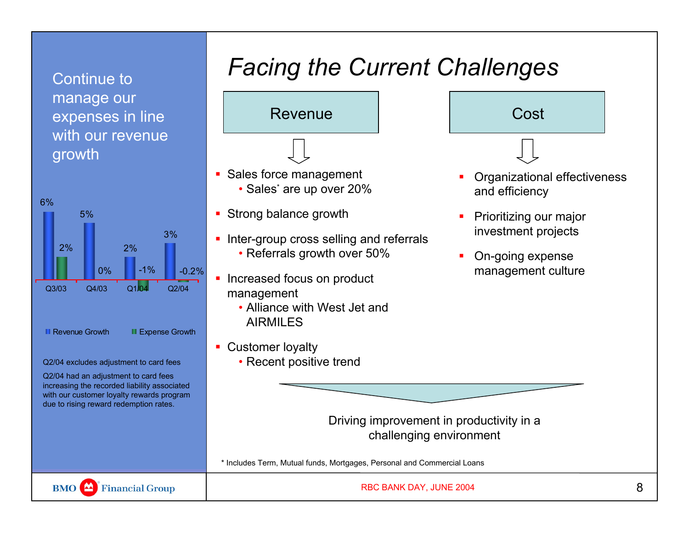### Continue to manage our expenses in line with our revenue growth



#### Q2/04 excludes adjustment to card fees

Q2/04 had an adjustment to card fees increasing the recorded liability associated with our customer loyalty rewards program due to rising reward redemption rates.

# *Facing the Current Challenges*



- **Sales force management** • Sales\* are up over 20%
- **Strong balance growth**
- **Inter-group cross selling and referrals** • Referrals growth over 50%
- Increased focus on product management
	- Alliance with West Jet and AIRMILES
- Customer loyalty

∟

• Recent positive trend



- Prioritizing our major
- П On-going expense management culture

investment projects

Driving improvement in productivity in a challenging environment

\* Includes Term, Mutual funds, Mortgages, Personal and Commercial Loans